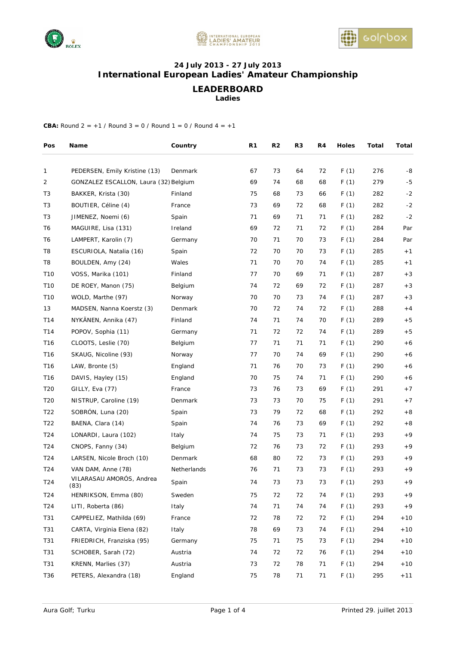





## **24 July 2013 - 27 July 2013 International European Ladies' Amateur Championship**

**LEADERBOARD** 

**Ladies** 

| Pos             | Name                                  | Country     | R1 | R2 | R3 | R4 | <b>Holes</b> | Total | Total |
|-----------------|---------------------------------------|-------------|----|----|----|----|--------------|-------|-------|
| 1               | PEDERSEN, Emily Kristine (13)         | Denmark     | 67 | 73 | 64 | 72 | F(1)         | 276   | -8    |
| 2               | GONZALEZ ESCALLON, Laura (32) Belgium |             | 69 | 74 | 68 | 68 | F(1)         | 279   | $-5$  |
| T <sub>3</sub>  | BAKKER, Krista (30)                   | Finland     | 75 | 68 | 73 | 66 | F(1)         | 282   | $-2$  |
| T <sub>3</sub>  | BOUTIER, Céline (4)                   | France      | 73 | 69 | 72 | 68 | F(1)         | 282   | $-2$  |
| T <sub>3</sub>  | JIMENEZ, Noemi (6)                    | Spain       | 71 | 69 | 71 | 71 | F(1)         | 282   | $-2$  |
| T6              | MAGUIRE, Lisa (131)                   | Ireland     | 69 | 72 | 71 | 72 | F(1)         | 284   | Par   |
| T6              | LAMPERT, Karolin (7)                  | Germany     | 70 | 71 | 70 | 73 | F(1)         | 284   | Par   |
| T <sub>8</sub>  | ESCURIOLA, Natalia (16)               | Spain       | 72 | 70 | 70 | 73 | F(1)         | 285   | $+1$  |
| T8              | BOULDEN, Amy (24)                     | Wales       | 71 | 70 | 70 | 74 | F(1)         | 285   | $+1$  |
| T <sub>10</sub> | VOSS, Marika (101)                    | Finland     | 77 | 70 | 69 | 71 | F(1)         | 287   | $+3$  |
| T10             | DE ROEY, Manon (75)                   | Belgium     | 74 | 72 | 69 | 72 | F(1)         | 287   | $+3$  |
| T10             | WOLD, Marthe (97)                     | Norway      | 70 | 70 | 73 | 74 | F(1)         | 287   | $+3$  |
| 13              | MADSEN, Nanna Koerstz (3)             | Denmark     | 70 | 72 | 74 | 72 | F(1)         | 288   | $+4$  |
| T14             | NYKÄNEN, Annika (47)                  | Finland     | 74 | 71 | 74 | 70 | F(1)         | 289   | $+5$  |
| T14             | POPOV, Sophia (11)                    | Germany     | 71 | 72 | 72 | 74 | F(1)         | 289   | $+5$  |
| T <sub>16</sub> | CLOOTS, Leslie (70)                   | Belgium     | 77 | 71 | 71 | 71 | F(1)         | 290   | $+6$  |
| T <sub>16</sub> | SKAUG, Nicoline (93)                  | Norway      | 77 | 70 | 74 | 69 | F(1)         | 290   | $+6$  |
| T <sub>16</sub> | LAW, Bronte (5)                       | England     | 71 | 76 | 70 | 73 | F(1)         | 290   | $+6$  |
| T <sub>16</sub> | DAVIS, Hayley (15)                    | England     | 70 | 75 | 74 | 71 | F(1)         | 290   | $+6$  |
| T <sub>20</sub> | GILLY, Eva (77)                       | France      | 73 | 76 | 73 | 69 | F(1)         | 291   | $+7$  |
| T <sub>20</sub> | NISTRUP, Caroline (19)                | Denmark     | 73 | 73 | 70 | 75 | F(1)         | 291   | $+7$  |
| T <sub>22</sub> | SOBRÓN, Luna (20)                     | Spain       | 73 | 79 | 72 | 68 | F(1)         | 292   | $+8$  |
| T <sub>22</sub> | BAENA, Clara (14)                     | Spain       | 74 | 76 | 73 | 69 | F(1)         | 292   | $+8$  |
| T <sub>24</sub> | LONARDI, Laura (102)                  | Italy       | 74 | 75 | 73 | 71 | F(1)         | 293   | $+9$  |
| T <sub>24</sub> | CNOPS, Fanny (34)                     | Belgium     | 72 | 76 | 73 | 72 | F(1)         | 293   | $+9$  |
| T <sub>24</sub> | LARSEN, Nicole Broch (10)             | Denmark     | 68 | 80 | 72 | 73 | F(1)         | 293   | $+9$  |
| T <sub>24</sub> | VAN DAM, Anne (78)                    | Netherlands | 76 | 71 | 73 | 73 | F(1)         | 293   | $+9$  |
| T <sub>24</sub> | VILARASAU AMORÓS, Andrea<br>(83)      | Spain       | 74 | 73 | 73 | 73 | F(1)         | 293   | $+9$  |
| T <sub>24</sub> | HENRIKSON, Emma (80)                  | Sweden      | 75 | 72 | 72 | 74 | F(1)         | 293   | $+9$  |
| T24             | LITI, Roberta (86)                    | Italy       | 74 | 71 | 74 | 74 | F(1)         | 293   | $+9$  |
| T31             | CAPPELIEZ, Mathilda (69)              | France      | 72 | 78 | 72 | 72 | F(1)         | 294   | $+10$ |
| T31             | CARTA, Virginia Elena (82)            | Italy       | 78 | 69 | 73 | 74 | F(1)         | 294   | $+10$ |
| T31             | FRIEDRICH, Franziska (95)             | Germany     | 75 | 71 | 75 | 73 | F(1)         | 294   | $+10$ |
| T31             | SCHOBER, Sarah (72)                   | Austria     | 74 | 72 | 72 | 76 | F(1)         | 294   | $+10$ |
| T31             | KRENN, Marlies (37)                   | Austria     | 73 | 72 | 78 | 71 | F(1)         | 294   | $+10$ |
| T36             | PETERS, Alexandra (18)                | England     | 75 | 78 | 71 | 71 | F(1)         | 295   | $+11$ |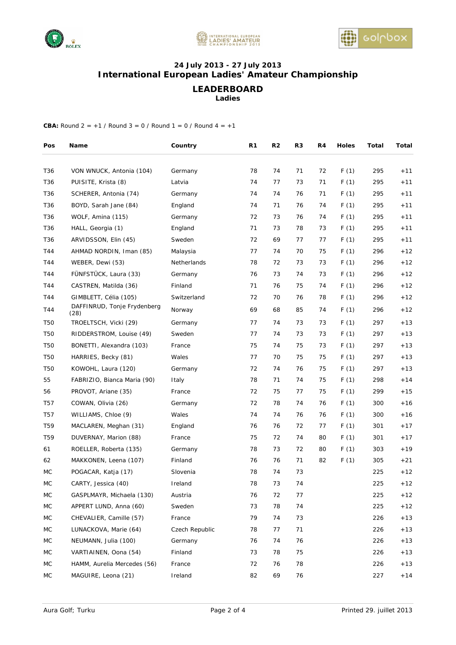





## **24 July 2013 - 27 July 2013 International European Ladies' Amateur Championship**

# **LEADERBOARD**

**Ladies** 

| Pos             | Name                          | Country        | R <sub>1</sub> | R2 | R3 | R4 | Holes | Total | Total |
|-----------------|-------------------------------|----------------|----------------|----|----|----|-------|-------|-------|
| T36             | VON WNUCK, Antonia (104)      | Germany        | 78             | 74 | 71 | 72 | F(1)  | 295   | $+11$ |
| T36             | PUISITE, Krista (8)           | Latvia         | 74             | 77 | 73 | 71 | F(1)  | 295   | $+11$ |
| T36             | SCHERER, Antonia (74)         | Germany        | 74             | 74 | 76 | 71 | F(1)  | 295   | $+11$ |
| T <sub>36</sub> | BOYD, Sarah Jane (84)         | England        | 74             | 71 | 76 | 74 | F(1)  | 295   | $+11$ |
| T36             | WOLF, Amina (115)             | Germany        | 72             | 73 | 76 | 74 | F(1)  | 295   | $+11$ |
| T36             | HALL, Georgia (1)             | England        | 71             | 73 | 78 | 73 | F(1)  | 295   | $+11$ |
| T36             | ARVIDSSON, Elin (45)          | Sweden         | 72             | 69 | 77 | 77 | F(1)  | 295   | $+11$ |
| T44             | AHMAD NORDIN, Iman (85)       | Malaysia       | 77             | 74 | 70 | 75 | F(1)  | 296   | $+12$ |
| T44             | WEBER, Dewi (53)              | Netherlands    | 78             | 72 | 73 | 73 | F(1)  | 296   | $+12$ |
| T44             | FÜNFSTÜCK, Laura (33)         | Germany        | 76             | 73 | 74 | 73 | F(1)  | 296   | $+12$ |
| T44             | CASTREN, Matilda (36)         | Finland        | 71             | 76 | 75 | 74 | F(1)  | 296   | $+12$ |
| T44             | GIMBLETT, Célia (105)         | Switzerland    | 72             | 70 | 76 | 78 | F(1)  | 296   | $+12$ |
| T44             | DAFFINRUD, Tonje Frydenberg   | Norway         | 69             | 68 | 85 | 74 | F(1)  | 296   | $+12$ |
| <b>T50</b>      | (28)<br>TROELTSCH, Vicki (29) | Germany        | 77             | 74 | 73 | 73 | F(1)  | 297   | $+13$ |
| <b>T50</b>      | RIDDERSTROM, Louise (49)      | Sweden         | 77             | 74 | 73 | 73 | F(1)  | 297   | $+13$ |
| <b>T50</b>      | BONETTI, Alexandra (103)      | France         | 75             | 74 | 75 | 73 | F(1)  | 297   | $+13$ |
| T50             | HARRIES, Becky (81)           | Wales          | 77             | 70 | 75 | 75 | F(1)  | 297   | $+13$ |
| <b>T50</b>      | KOWOHL, Laura (120)           | Germany        | 72             | 74 | 76 | 75 | F(1)  | 297   | $+13$ |
| 55              | FABRIZIO, Bianca Maria (90)   | Italy          | 78             | 71 | 74 | 75 | F(1)  | 298   | $+14$ |
| 56              | PROVOT, Ariane (35)           | France         | 72             | 75 | 77 | 75 | F(1)  | 299   | $+15$ |
| T57             | COWAN, Olivia (26)            | Germany        | 72             | 78 | 74 | 76 | F(1)  | 300   | $+16$ |
| T57             | WILLIAMS, Chloe (9)           | Wales          | 74             | 74 | 76 | 76 | F(1)  | 300   | $+16$ |
| T <sub>59</sub> | MACLAREN, Meghan (31)         | England        | 76             | 76 | 72 | 77 | F(1)  | 301   | $+17$ |
| T <sub>59</sub> | DUVERNAY, Marion (88)         | France         | 75             | 72 | 74 | 80 | F(1)  | 301   | $+17$ |
| 61              | ROELLER, Roberta (135)        | Germany        | 78             | 73 | 72 | 80 | F(1)  | 303   | $+19$ |
| 62              | MAKKONEN, Leena (107)         | Finland        | 76             | 76 | 71 | 82 | F(1)  | 305   | $+21$ |
| МC              | POGACAR, Katja (17)           | Slovenia       | 78             | 74 | 73 |    |       | 225   | $+12$ |
| $\sf MC$        | CARTY, Jessica (40)           | Ireland        | 78             | 73 | 74 |    |       | 225   | $+12$ |
| МC              | GASPLMAYR, Michaela (130)     | Austria        | 76             | 72 | 77 |    |       | 225   | $+12$ |
| МC              | APPERT LUND, Anna (60)        | Sweden         | 73             | 78 | 74 |    |       | 225   | $+12$ |
| МC              | CHEVALIER, Camille (57)       | France         | 79             | 74 | 73 |    |       | 226   | $+13$ |
| МC              | LUNACKOVA, Marie (64)         | Czech Republic | 78             | 77 | 71 |    |       | 226   | $+13$ |
| МC              | NEUMANN, Julia (100)          | Germany        | 76             | 74 | 76 |    |       | 226   | $+13$ |
| МC              | VARTIAINEN, Oona (54)         | Finland        | 73             | 78 | 75 |    |       | 226   | $+13$ |
| МC              | HAMM, Aurelia Mercedes (56)   | France         | 72             | 76 | 78 |    |       | 226   | $+13$ |
| МC              | MAGUIRE, Leona (21)           | Ireland        | 82             | 69 | 76 |    |       | 227   | $+14$ |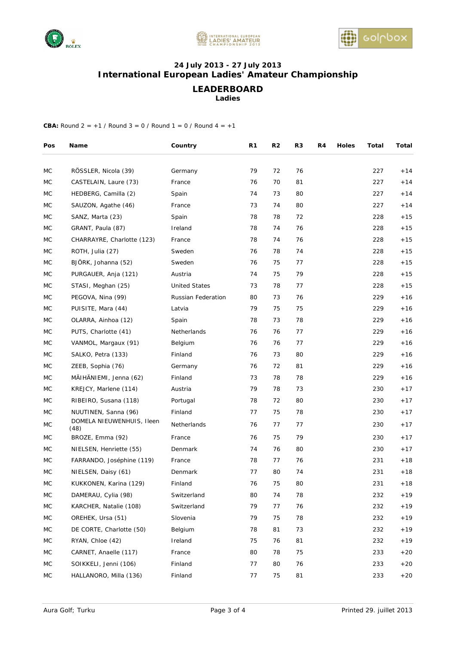





# **24 July 2013 - 27 July 2013 International European Ladies' Amateur Championship**

**LEADERBOARD** 

**Ladies** 

| Pos       | Name                              | Country              | R1 | R <sub>2</sub> | R3 | R4 | <b>Holes</b> | Total | Total |
|-----------|-----------------------------------|----------------------|----|----------------|----|----|--------------|-------|-------|
| МC        | RÖSSLER, Nicola (39)              | Germany              | 79 | 72             | 76 |    |              | 227   | $+14$ |
| МC        | CASTELAIN, Laure (73)             | France               | 76 | 70             | 81 |    |              | 227   | $+14$ |
| МC        | HEDBERG, Camilla (2)              | Spain                | 74 | 73             | 80 |    |              | 227   | $+14$ |
| MC        | SAUZON, Agathe (46)               | France               | 73 | 74             | 80 |    |              | 227   | $+14$ |
| MC        | SANZ, Marta (23)                  | Spain                | 78 | 78             | 72 |    |              | 228   | $+15$ |
| МC        | GRANT, Paula (87)                 | Ireland              | 78 | 74             | 76 |    |              | 228   | $+15$ |
| МC        | CHARRAYRE, Charlotte (123)        | France               | 78 | 74             | 76 |    |              | 228   | $+15$ |
| MC        | ROTH, Julia (27)                  | Sweden               | 76 | 78             | 74 |    |              | 228   | $+15$ |
| MC        | BJORK, Johanna (52)               | Sweden               | 76 | 75             | 77 |    |              | 228   | $+15$ |
| МC        | PURGAUER, Anja (121)              | Austria              | 74 | 75             | 79 |    |              | 228   | $+15$ |
| МC        | STASI, Meghan (25)                | <b>United States</b> | 73 | 78             | 77 |    |              | 228   | $+15$ |
| MC        | PEGOVA, Nina (99)                 | Russian Federation   | 80 | 73             | 76 |    |              | 229   | $+16$ |
| MC        | PUISITE, Mara (44)                | Latvia               | 79 | 75             | 75 |    |              | 229   | $+16$ |
| МC        | OLARRA, Ainhoa (12)               | Spain                | 78 | 73             | 78 |    |              | 229   | $+16$ |
| МC        | PUTS, Charlotte (41)              | Netherlands          | 76 | 76             | 77 |    |              | 229   | $+16$ |
| МC        | VANMOL, Margaux (91)              | Belgium              | 76 | 76             | 77 |    |              | 229   | $+16$ |
| MC        | SALKO, Petra (133)                | Finland              | 76 | 73             | 80 |    |              | 229   | $+16$ |
| МC        | ZEEB, Sophia (76)                 | Germany              | 76 | 72             | 81 |    |              | 229   | $+16$ |
| МC        | MÄIHÄNIEMI, Jenna (62)            | Finland              | 73 | 78             | 78 |    |              | 229   | $+16$ |
| МC        | KREJCY, Marlene (114)             | Austria              | 79 | 78             | 73 |    |              | 230   | $+17$ |
| <b>MC</b> | RIBEIRO, Susana (118)             | Portugal             | 78 | 72             | 80 |    |              | 230   | $+17$ |
| МC        | NUUTINEN, Sanna (96)              | Finland              | 77 | 75             | 78 |    |              | 230   | $+17$ |
| MC        | DOMELA NIEUWENHUIS, Ileen<br>(48) | Netherlands          | 76 | 77             | 77 |    |              | 230   | $+17$ |
| МC        | BROZE, Emma (92)                  | France               | 76 | 75             | 79 |    |              | 230   | $+17$ |
| MC        | NIELSEN, Henriette (55)           | Denmark              | 74 | 76             | 80 |    |              | 230   | $+17$ |
| MC        | FARRANDO, Joséphine (119)         | France               | 78 | 77             | 76 |    |              | 231   | $+18$ |
| MC        | NIELSEN, Daisy (61)               | Denmark              | 77 | 80             | 74 |    |              | 231   | $+18$ |
| $\sf MC$  | KUKKONEN, Karina (129)            | Finland              | 76 | 75             | 80 |    |              | 231   | $+18$ |
| МC        | DAMERAU, Cylia (98)               | Switzerland          | 80 | 74             | 78 |    |              | 232   | $+19$ |
| МC        | KARCHER, Natalie (108)            | Switzerland          | 79 | 77             | 76 |    |              | 232   | $+19$ |
| МC        | OREHEK, Ursa (51)                 | Slovenia             | 79 | 75             | 78 |    |              | 232   | $+19$ |
| МC        | DE CORTE, Charlotte (50)          | Belgium              | 78 | 81             | 73 |    |              | 232   | $+19$ |
| МC        | RYAN, Chloe (42)                  | Ireland              | 75 | 76             | 81 |    |              | 232   | $+19$ |
| МC        | CARNET, Anaelle (117)             | France               | 80 | 78             | 75 |    |              | 233   | $+20$ |
| МC        | SOIKKELI, Jenni (106)             | Finland              | 77 | 80             | 76 |    |              | 233   | $+20$ |
| MC        | HALLANORO, Milla (136)            | Finland              | 77 | 75             | 81 |    |              | 233   | $+20$ |